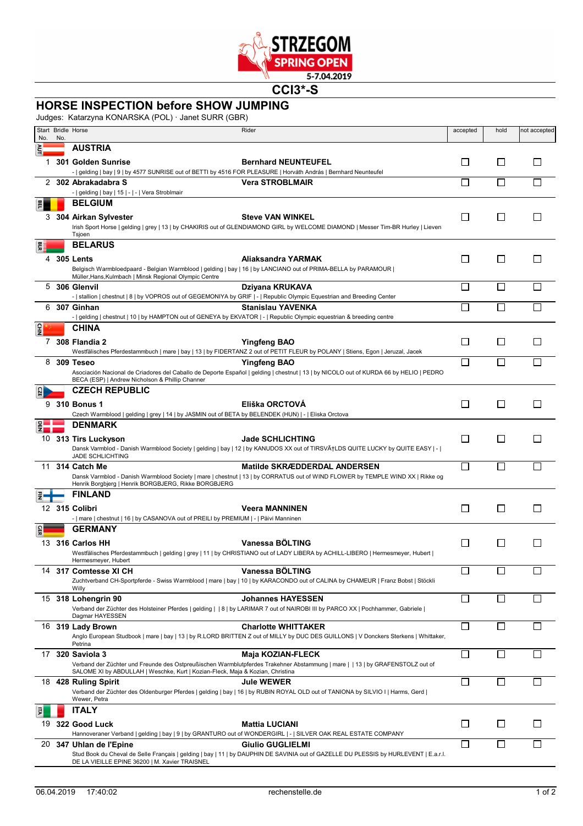

**CCI3\*-S**

## **HORSE INSPECTION before SHOW JUMPING**

Judges: Katarzyna KONARSKA (POL) · Janet SURR (GBR)

|     |     | <u>Jugges. INalaizyi la NONAN JIMANI OLI TJället OONN (ODIN)</u><br>Start Bridle Horse                                                                                                   | Rider                                                                                                                                                                                                                                                                            | accepted     | hold         | not accepted |
|-----|-----|------------------------------------------------------------------------------------------------------------------------------------------------------------------------------------------|----------------------------------------------------------------------------------------------------------------------------------------------------------------------------------------------------------------------------------------------------------------------------------|--------------|--------------|--------------|
| No. | No. | <b>AUSTRIA</b>                                                                                                                                                                           |                                                                                                                                                                                                                                                                                  |              |              |              |
| 1.  |     | 301 Golden Sunrise<br>-   gelding   bay   9   by 4577 SUNRISE out of BETTI by 4516 FOR PLEASURE   Horváth András   Bernhard Neunteufel                                                   | <b>Bernhard NEUNTEUFEL</b>                                                                                                                                                                                                                                                       | l 1          | $\mathsf{L}$ | $\mathsf{L}$ |
| 2   |     | 302 Abrakadabra S                                                                                                                                                                        | <b>Vera STROBLMAIR</b>                                                                                                                                                                                                                                                           | П            | П            |              |
|     |     | -   gelding   bay   15   -   -   Vera Stroblmair                                                                                                                                         |                                                                                                                                                                                                                                                                                  |              |              |              |
| 쯾   |     | <b>BELGIUM</b><br>3 304 Airkan Sylvester<br>Tsjoen                                                                                                                                       | <b>Steve VAN WINKEL</b><br>Irish Sport Horse   gelding   grey   13   by CHAKIRIS out of GLENDIAMOND GIRL by WELCOME DIAMOND   Messer Tim-BR Hurley   Lieven                                                                                                                      | $\Box$       | l 1          |              |
|     |     | <b>BELARUS</b>                                                                                                                                                                           |                                                                                                                                                                                                                                                                                  |              |              |              |
|     |     | 4 305 Lents<br>Belgisch Warmbloedpaard - Belgian Warmblood   gelding   bay   16   by LANCIANO out of PRIMA-BELLA by PARAMOUR  <br>Müller, Hans, Kulmbach   Minsk Regional Olympic Centre | Aliaksandra YARMAK                                                                                                                                                                                                                                                               | $\mathsf{L}$ | l 1          | $\mathsf{L}$ |
| 5   |     | 306 Glenvil                                                                                                                                                                              | Dziyana KRUKAVA                                                                                                                                                                                                                                                                  | $\Box$       | $\Box$       |              |
|     |     | -   stallion   chestnut   8   by VOPROS out of GEGEMONIYA by GRIF   -   Republic Olympic Equestrian and Breeding Center                                                                  |                                                                                                                                                                                                                                                                                  |              |              |              |
| 6   |     | 307 Ginhan<br>-   gelding   chestnut   10   by HAMPTON out of GENEYA by EKVATOR   -   Republic Olympic equestrian & breeding centre                                                      | <b>Stanislau YAVENKA</b>                                                                                                                                                                                                                                                         | $\mathbf{L}$ |              |              |
| 울   |     | <b>CHINA</b>                                                                                                                                                                             |                                                                                                                                                                                                                                                                                  |              |              |              |
| 7   |     | 308 Flandia 2                                                                                                                                                                            | Yingfeng BAO<br>Westfälisches Pferdestammbuch   mare   bay   13   by FIDERTANZ 2 out of PETIT FLEUR by POLANY   Stiens, Egon   Jeruzal, Jacek                                                                                                                                    | $\mathbf{I}$ | l 1          |              |
|     |     | 8 309 Teseo                                                                                                                                                                              | Yingfeng BAO                                                                                                                                                                                                                                                                     | $\Box$       | $\Box$       |              |
|     |     | BECA (ESP)   Andrew Nicholson & Phillip Channer<br><b>CZECH REPUBLIC</b>                                                                                                                 | Asociación Nacional de Criadores del Caballo de Deporte Español   gelding   chestnut   13   by NICOLO out of KURDA 66 by HELIO   PEDRO                                                                                                                                           |              |              |              |
|     |     |                                                                                                                                                                                          | Eliška ORCTOVÁ                                                                                                                                                                                                                                                                   |              |              |              |
|     |     | 9 310 Bonus 1<br>Czech Warmblood   gelding   grey   14   by JASMIN out of BETA by BELENDEK (HUN)   -   Eliska Orctova                                                                    |                                                                                                                                                                                                                                                                                  | $\Box$       | П            | П            |
|     |     | <b>DENMARK</b>                                                                                                                                                                           |                                                                                                                                                                                                                                                                                  |              |              |              |
|     |     | 10 313 Tirs Luckyson<br>JADE SCHLICHTING                                                                                                                                                 | <b>Jade SCHLICHTING</b><br>Dansk Varmblod - Danish Warmblood Society   gelding   bay   12   by KANUDOS XX out of TIRSVĆLDS QUITE LUCKY by QUITE EASY   -                                                                                                                         | П            | П            |              |
| 11  |     | 314 Catch Me<br>Henrik Borgbjerg   Henrik BORGBJERG, Rikke BORGBJERG                                                                                                                     | Matilde SKRÆDDERDAL ANDERSEN<br>Dansk Varmblod - Danish Warmblood Society   mare   chestnut   13   by CORRATUS out of WIND FLOWER by TEMPLE WIND XX   Rikke og                                                                                                                   | $\mathbf{I}$ | $\mathbf{I}$ |              |
|     |     | <b>FINLAND</b>                                                                                                                                                                           |                                                                                                                                                                                                                                                                                  |              |              |              |
|     |     | 12 315 Colibri<br>-   mare   chestnut   16   by CASANOVA out of PREILI by PREMIUM   -   Päivi Manninen                                                                                   | <b>Veera MANNINEN</b>                                                                                                                                                                                                                                                            | $\Box$       | П            | $\Box$       |
|     |     | <b>GERMANY</b>                                                                                                                                                                           |                                                                                                                                                                                                                                                                                  |              |              |              |
|     |     | 13 316 Carlos HH                                                                                                                                                                         | Vanessa BÖLTING                                                                                                                                                                                                                                                                  | $\Box$       |              |              |
|     |     | Hermesmeyer, Hubert                                                                                                                                                                      | Westfälisches Pferdestammbuch   gelding   grey   11   by CHRISTIANO out of LADY LIBERA by ACHILL-LIBERO   Hermesmeyer, Hubert                                                                                                                                                    |              |              |              |
|     |     | 14 317 Comtesse XI CH                                                                                                                                                                    | Vanessa BÖLTING                                                                                                                                                                                                                                                                  | П            |              |              |
|     |     |                                                                                                                                                                                          | Zuchtverband CH-Sportpferde - Swiss Warmblood   mare   bay   10   by KARACONDO out of CALINA by CHAMEUR   Franz Bobst   Stöckli                                                                                                                                                  |              |              |              |
| 15  |     | Willy<br>318 Lohengrin 90                                                                                                                                                                | <b>Johannes HAYESSEN</b>                                                                                                                                                                                                                                                         | $\Box$       | $\mathbf{I}$ |              |
|     |     |                                                                                                                                                                                          | Verband der Züchter des Holsteiner Pferdes   gelding     8   by LARIMAR 7 out of NAIROBI III by PARCO XX   Pochhammer, Gabriele                                                                                                                                                  |              |              |              |
| 16  |     | Dagmar HAYESSEN                                                                                                                                                                          |                                                                                                                                                                                                                                                                                  | $\Box$       | $\mathbf{I}$ |              |
|     |     | 319 Lady Brown<br>Petrina                                                                                                                                                                | <b>Charlotte WHITTAKER</b><br>Anglo European Studbook   mare   bay   13   by R.LORD BRITTEN Z out of MILLY by DUC DES GUILLONS   V Donckers Sterkens   Whittaker,                                                                                                                |              |              |              |
|     |     | 17 320 Saviola 3<br>SALOME XI by ABDULLAH   Weschke, Kurt   Kozian-Fleck, Maja & Kozian, Christina                                                                                       | <b>Maja KOZIAN-FLECK</b><br>Verband der Züchter und Freunde des Ostpreußischen Warmblutpferdes Trakehner Abstammung   mare     13   by GRAFENSTOLZ out of                                                                                                                        | $\mathbf{I}$ |              |              |
|     |     | 18 428 Ruling Spirit<br>Wewer, Petra                                                                                                                                                     | Jule WEWER<br>Verband der Züchter des Oldenburger Pferdes   gelding   bay   16   by RUBIN ROYAL OLD out of TANIONA by SILVIO I   Harms, Gerd                                                                                                                                     | $\Box$       | П            |              |
|     |     | <b>ITALY</b>                                                                                                                                                                             |                                                                                                                                                                                                                                                                                  |              |              |              |
|     |     | 19 322 Good Luck                                                                                                                                                                         | <b>Mattia LUCIANI</b>                                                                                                                                                                                                                                                            | $\Box$       | $\perp$      |              |
| 20  |     | 347 Uhlan de l'Epine                                                                                                                                                                     | Hannoveraner Verband   gelding   bay   9   by GRANTURO out of WONDERGIRL   -   SILVER OAK REAL ESTATE COMPANY<br><b>Giulio GUGLIELMI</b><br>Stud Book du Cheval de Selle Français   gelding   bay   11   by DAUPHIN DE SAVINIA out of GAZELLE DU PLESSIS by HURLEVENT   E.a.r.l. | П            | П            |              |
|     |     | DE LA VIEILLE EPINE 36200   M. Xavier TRAISNEL                                                                                                                                           |                                                                                                                                                                                                                                                                                  |              |              |              |